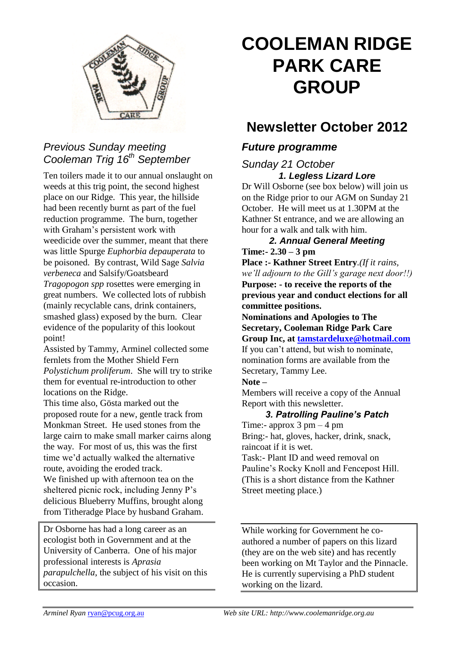

## *Previous Sunday meeting Cooleman Trig 16th September*

Ten toilers made it to our annual onslaught on weeds at this trig point, the second highest place on our Ridge. This year, the hillside had been recently burnt as part of the fuel reduction programme. The burn, together with Graham's persistent work with weedicide over the summer, meant that there was little Spurge *Euphorbia depauperata* to be poisoned. By contrast, Wild Sage *Salvia verbeneca* and Salsify/Goatsbeard *Tragopogon spp* rosettes were emerging in great numbers. We collected lots of rubbish (mainly recyclable cans, drink containers, smashed glass) exposed by the burn. Clear evidence of the popularity of this lookout point!

Assisted by Tammy, Arminel collected some fernlets from the Mother Shield Fern *Polystichum proliferum*. She will try to strike them for eventual re-introduction to other locations on the Ridge.

This time also, Gösta marked out the proposed route for a new, gentle track from Monkman Street. He used stones from the large cairn to make small marker cairns along the way. For most of us, this was the first time we'd actually walked the alternative route, avoiding the eroded track. We finished up with afternoon tea on the sheltered picnic rock, including Jenny P's delicious Blueberry Muffins, brought along from Titheradge Place by husband Graham.

Dr Osborne has had a long career as an ecologist both in Government and at the University of Canberra. One of his major professional interests is *Aprasia parapulchella*, the subject of his visit on this occasion.

# **COOLEMAN RIDGE PARK CARE GROUP**

# **Newsletter October 2012**

### *Future programme*

#### *Sunday 21 October 1. Legless Lizard Lore*

Dr Will Osborne (see box below) will join us on the Ridge prior to our AGM on Sunday 21 October. He will meet us at 1.30PM at the Kathner St entrance, and we are allowing an hour for a walk and talk with him.

#### *2. Annual General Meeting* **Time:- 2.30 – 3 pm**

**Place :- Kathner Street Entry***.(If it rains, we'll adjourn to the Gill's garage next door!!)* **Purpose: - to receive the reports of the previous year and conduct elections for all committee positions.**

**Nominations and Apologies to The Secretary, Cooleman Ridge Park Care Group Inc, at [tamstardeluxe@hotmail.com](mailto:tamstardeluxe@hotmail.com)** If you can't attend, but wish to nominate, nomination forms are available from the Secretary, Tammy Lee.

#### **Note –**

Members will receive a copy of the Annual Report with this newsletter.

#### *3. Patrolling Pauline's Patch*

Time:- approx  $3 \text{ pm} - 4 \text{ pm}$ Bring:- hat, gloves, hacker, drink, snack, raincoat if it is wet.

Task:- Plant ID and weed removal on Pauline's Rocky Knoll and Fencepost Hill. (This is a short distance from the Kathner Street meeting place.)

While working for Government he coauthored a number of papers on this lizard (they are on the web site) and has recently been working on Mt Taylor and the Pinnacle. He is currently supervising a PhD student working on the lizard.